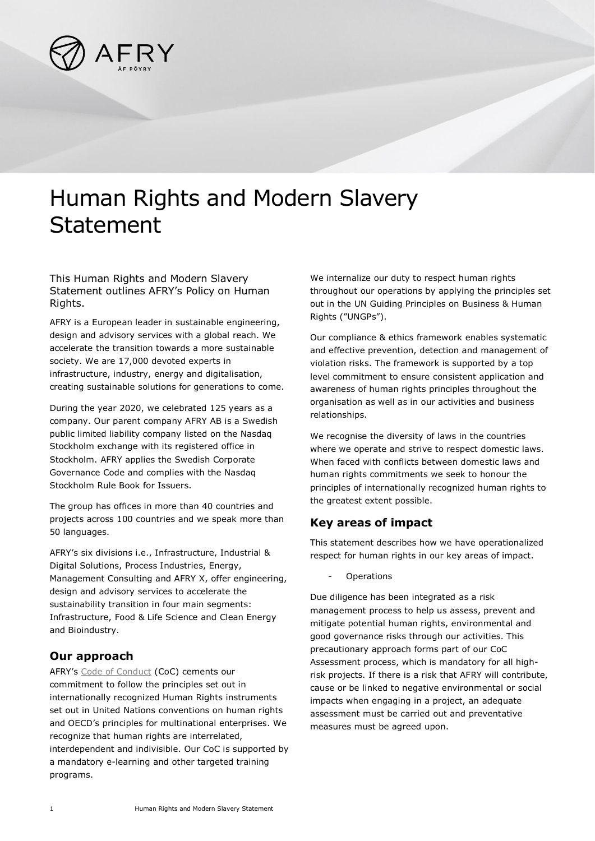

## Human Rights and Modern Slavery Statement

This Human Rights and Modern Slavery Statement outlines AFRY's Policy on Human Rights.

AFRY is a European leader in sustainable engineering, design and advisory services with a global reach. We accelerate the transition towards a more sustainable society. We are 17,000 devoted experts in infrastructure, industry, energy and digitalisation, creating sustainable solutions for generations to come.

During the year 2020, we celebrated 125 years as a company. Our parent company AFRY AB is a Swedish public limited liability company listed on the Nasdaq Stockholm exchange with its registered office in Stockholm. AFRY applies the Swedish Corporate Governance Code and complies with the Nasdaq Stockholm Rule Book for Issuers.

The group has offices in more than 40 countries and projects across 100 countries and we speak more than 50 languages.

AFRY's six divisions i.e., Infrastructure, Industrial & Digital Solutions, Process Industries, Energy, Management Consulting and AFRY X, offer engineering, design and advisory services to accelerate the sustainability transition in four main segments: Infrastructure, Food & Life Science and Clean Energy and Bioindustry.

## **Our approach**

AFRY's [Code of Conduct](https://afry.com/sites/default/files/2020-02/AFRY%20Code%20of%20Conduct%20EN%20200122.pdf) (CoC) cements our commitment to follow the principles set out in internationally recognized Human Rights instruments set out in United Nations conventions on human rights and OECD's principles for multinational enterprises. We recognize that human rights are interrelated, interdependent and indivisible. Our CoC is supported by a mandatory e-learning and other targeted training programs.

We internalize our duty to respect human rights throughout our operations by applying the principles set out in the UN Guiding Principles on Business & Human Rights ("UNGPs").

Our compliance & ethics framework enables systematic and effective prevention, detection and management of violation risks. The framework is supported by a top level commitment to ensure consistent application and awareness of human rights principles throughout the organisation as well as in our activities and business relationships.

We recognise the diversity of laws in the countries where we operate and strive to respect domestic laws. When faced with conflicts between domestic laws and human rights commitments we seek to honour the principles of internationally recognized human rights to the greatest extent possible.

## **Key areas of impact**

This statement describes how we have operationalized respect for human rights in our key areas of impact.

**Operations** 

Due diligence has been integrated as a risk management process to help us assess, prevent and mitigate potential human rights, environmental and good governance risks through our activities. This precautionary approach forms part of our CoC Assessment process, which is mandatory for all highrisk projects. If there is a risk that AFRY will contribute, cause or be linked to negative environmental or social impacts when engaging in a project, an adequate assessment must be carried out and preventative measures must be agreed upon.